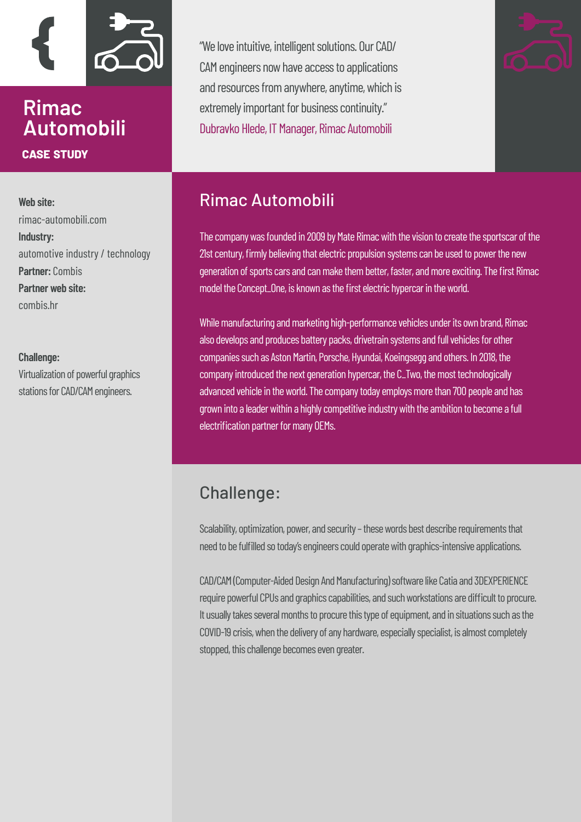

### **Rimac Automobili case study**

**Web site:** [rimac-automobili.com](https://www.rimac-automobili.com/en/) **Industry:**  automotive industry / technology **Partner:** Combis **Partner web site:**  [combis.hr](https://www.combis.hr/en/)

#### **Challenge:**

Virtualization of powerful graphics stations for CAD/CAM engineers.

"We love intuitive, intelligent solutions. Our CAD/ CAM engineers now have access to applications and resources from anywhere, anytime, which is extremely important for business continuity." Dubravko Hlede, IT Manager, Rimac Automobili



### Rimac Automobili

The company was founded in 2009 by Mate Rimac with the vision to create the sportscar of the 21st century, firmly believing that electric propulsion systems can be used to power the new generation of sports cars and can make them better, faster, and more exciting. The first Rimac model the Concept\_One, is known as the first electric hypercar in the world.

While manufacturing and marketing high-performance vehicles under its own brand, Rimac also develops and produces battery packs, drivetrain systems and full vehicles for other companies such as Aston Martin, Porsche, Hyundai, Koeingsegg and others. In 2018, the company introduced the next generation hypercar, the C\_Two, the most technologically advanced vehicle in the world. The company today employs more than 700 people and has grown into a leader within a highly competitive industry with the ambition to become a full electrification partner for many OEMs.

### Challenge:

Scalability, optimization, power, and security – these words best describe requirements that need to be fulfilled so today's engineers could operate with graphics-intensive applications.

CAD/CAM (Computer-Aided Design And Manufacturing) software like Catia and 3DEXPERIENCE require powerful CPUs and graphics capabilities, and such workstations are difficult to procure. It usually takes several months to procure this type of equipment, and in situations such as the COVID-19 crisis, when the delivery of any hardware, especially specialist, is almost completely stopped, this challenge becomes even greater.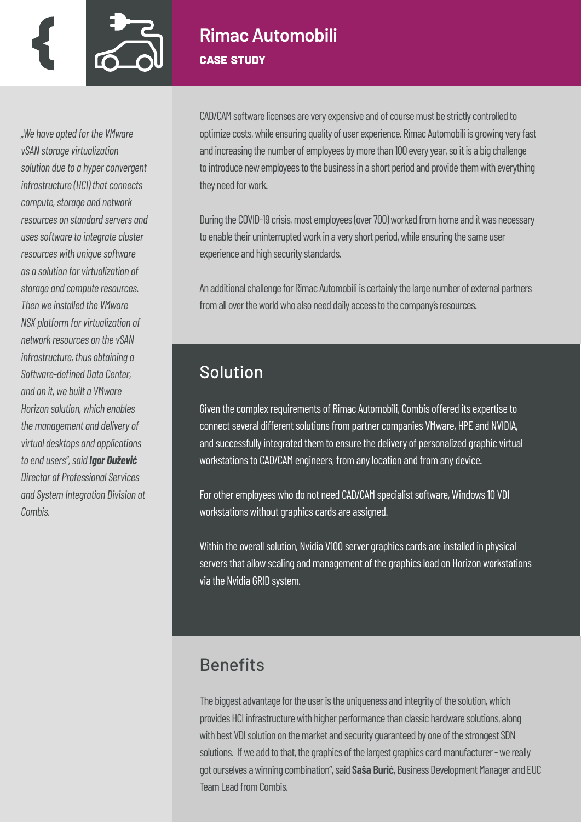

#### **Rimac Automobili case study**

*"We have opted for the VMware vSAN storage virtualization solution due to a hyper convergent infrastructure (HCI) that connects compute, storage and network resources on standard servers and uses software to integrate cluster resources with unique software as a solution for virtualization of storage and compute resources. Then we installed the VMware NSX platform for virtualization of network resources on the vSAN infrastructure, thus obtaining a Software-defined Data Center, and on it, we built a VMware Horizon solution, which enables the management and delivery of virtual desktops and applications to end users", said Igor Dužević Director of Professional Services and System Integration Division at Combis.*

CAD/CAM software licenses are very expensive and of course must be strictly controlled to optimize costs, while ensuring quality of user experience. Rimac Automobili is growing very fast and increasing the number of employees by more than 100 every year, so it is a big challenge to introduce new employees to the business in a short period and provide them with everything they need for work.

During the COVID-19 crisis, most employees (over 700) worked from home and it was necessary to enable their uninterrupted work in a very short period, while ensuring the same user experience and high security standards.

An additional challenge for Rimac Automobili is certainly the large number of external partners from all over the world who also need daily access to the company's resources.

# Solution

Given the complex requirements of Rimac Automobili, Combis offered its expertise to connect several different solutions from partner companies VMware, HPE and NVIDIA, and successfully integrated them to ensure the delivery of personalized graphic virtual workstations to CAD/CAM engineers, from any location and from any device.

For other employees who do not need CAD/CAM specialist software, Windows 10 VDI workstations without graphics cards are assigned.

Within the overall solution, Nvidia V100 server graphics cards are installed in physical servers that allow scaling and management of the graphics load on Horizon workstations via the Nvidia GRID system.

# **Benefits**

The biggest advantage for the user is the uniqueness and integrity of the solution, which provides HCI infrastructure with higher performance than classic hardware solutions, along with best VDI solution on the market and security guaranteed by one of the strongest SDN solutions. If we add to that, the graphics of the largest graphics card manufacturer - we really got ourselves a winning combination", said **Saša Burić**, Business Development Manager and EUC Team Lead from Combis.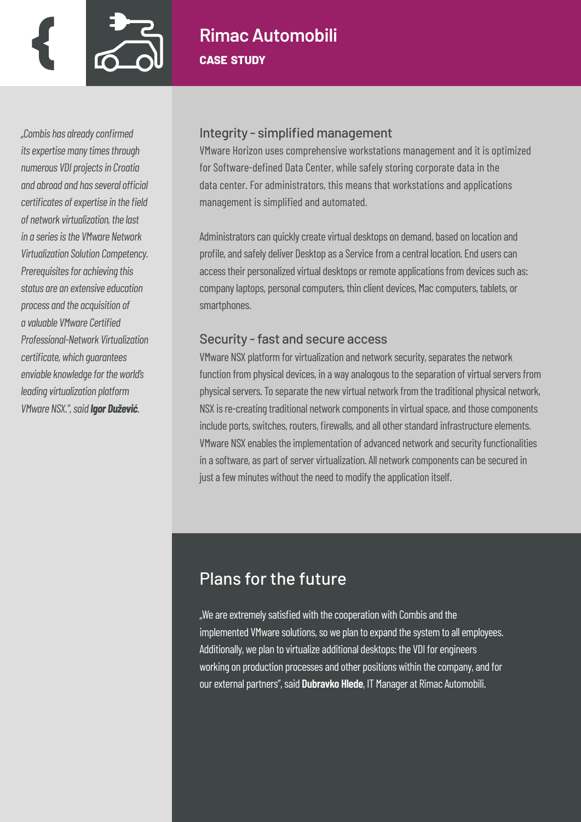

# **Rimac Automobili case study**

*"Combis has already confirmed its expertise many times through numerous VDI projects in Croatia and abroad and has several official certificates of expertise in the field of network virtualization, the last in a series is the VMware Network Virtualization Solution Competency. Prerequisites for achieving this status are an extensive education process and the acquisition of a valuable VMware Certified Professional-Network Virtualization certificate, which guarantees enviable knowledge for the world's leading virtualization platform VMware NSX.", said Igor Dužević.*

#### Integrity - simplified management

VMware Horizon uses comprehensive workstations management and it is optimized for Software-defined Data Center, while safely storing corporate data in the data center. For administrators, this means that workstations and applications management is simplified and automated.

Administrators can quickly create virtual desktops on demand, based on location and profile, and safely deliver Desktop as a Service from a central location. End users can access their personalized virtual desktops or remote applications from devices such as: company laptops, personal computers, thin client devices, Mac computers, tablets, or smartphones.

#### Security - fast and secure access

VMware NSX platform for virtualization and network security, separates the network function from physical devices, in a way analogous to the separation of virtual servers from physical servers. To separate the new virtual network from the traditional physical network, NSX is re-creating traditional network components in virtual space, and those components include ports, switches, routers, firewalls, and all other standard infrastructure elements. VMware NSX enables the implementation of advanced network and security functionalities in a software, as part of server virtualization. All network components can be secured in just a few minutes without the need to modify the application itself.

### Plans for the future

"We are extremely satisfied with the cooperation with Combis and the implemented VMware solutions, so we plan to expand the system to all employees. Additionally, we plan to virtualize additional desktops: the VDI for engineers working on production processes and other positions within the company, and for our external partners", said **Dubravko Hlede**, IT Manager at Rimac Automobili.